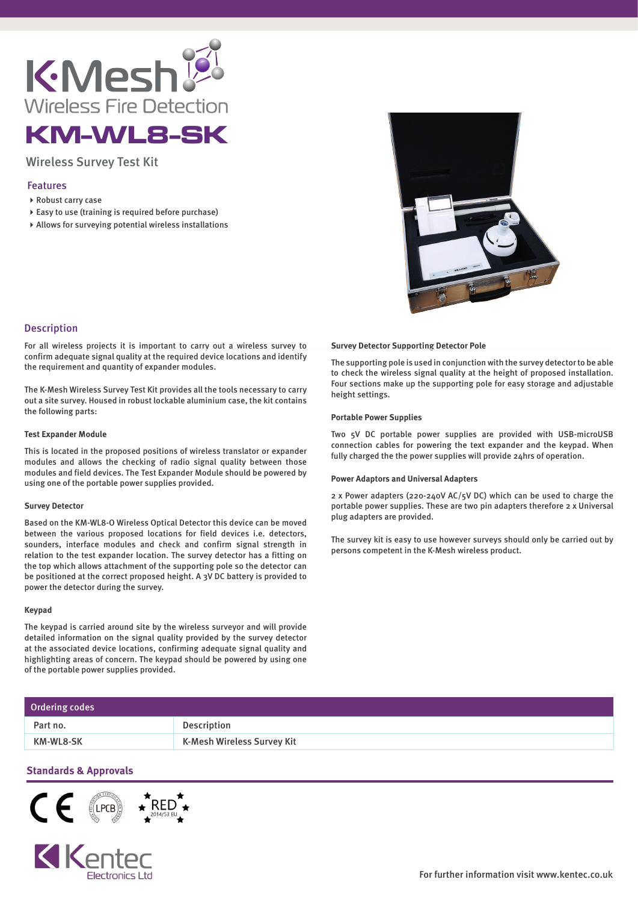

# KM-WL8-SK

## Wireless Survey Test Kit

### Features

- ▶ Robust carry case
- Easy to use (training is required before purchase)
- Allows for surveying potential wireless installations



## Description

For all wireless projects it is important to carry out a wireless survey to confirm adequate signal quality at the required device locations and identify the requirement and quantity of expander modules.

The K-Mesh Wireless Survey Test Kit provides all the tools necessary to carry out a site survey. Housed in robust lockable aluminium case, the kit contains the following parts:

#### **Test Expander Module**

This is located in the proposed positions of wireless translator or expander modules and allows the checking of radio signal quality between those modules and field devices. The Test Expander Module should be powered by using one of the portable power supplies provided.

#### **Survey Detector**

Based on the KM-WL8-O Wireless Optical Detector this device can be moved between the various proposed locations for field devices i.e. detectors, sounders, interface modules and check and confirm signal strength in relation to the test expander location. The survey detector has a fitting on the top which allows attachment of the supporting pole so the detector can be positioned at the correct proposed height. A 3V DC battery is provided to power the detector during the survey.

#### **Keypad**

The keypad is carried around site by the wireless surveyor and will provide detailed information on the signal quality provided by the survey detector at the associated device locations, confirming adequate signal quality and highlighting areas of concern. The keypad should be powered by using one of the portable power supplies provided.

#### **Survey Detector Supporting Detector Pole**

The supporting pole is used in conjunction with the survey detector to be able to check the wireless signal quality at the height of proposed installation. Four sections make up the supporting pole for easy storage and adjustable height settings.

#### **Portable Power Supplies**

Two 5V DC portable power supplies are provided with USB-microUSB connection cables for powering the text expander and the keypad. When fully charged the the power supplies will provide 24hrs of operation.

#### **Power Adaptors and Universal Adapters**

2 x Power adapters (220-240V AC/5V DC) which can be used to charge the portable power supplies. These are two pin adapters therefore 2 x Universal plug adapters are provided.

The survey kit is easy to use however surveys should only be carried out by persons competent in the K-Mesh wireless product.

| Ordering codes |                            |
|----------------|----------------------------|
| Part no.       | Description                |
| KM-WL8-SK      | K-Mesh Wireless Survey Kit |

## **Standards & Approvals**

KKenter